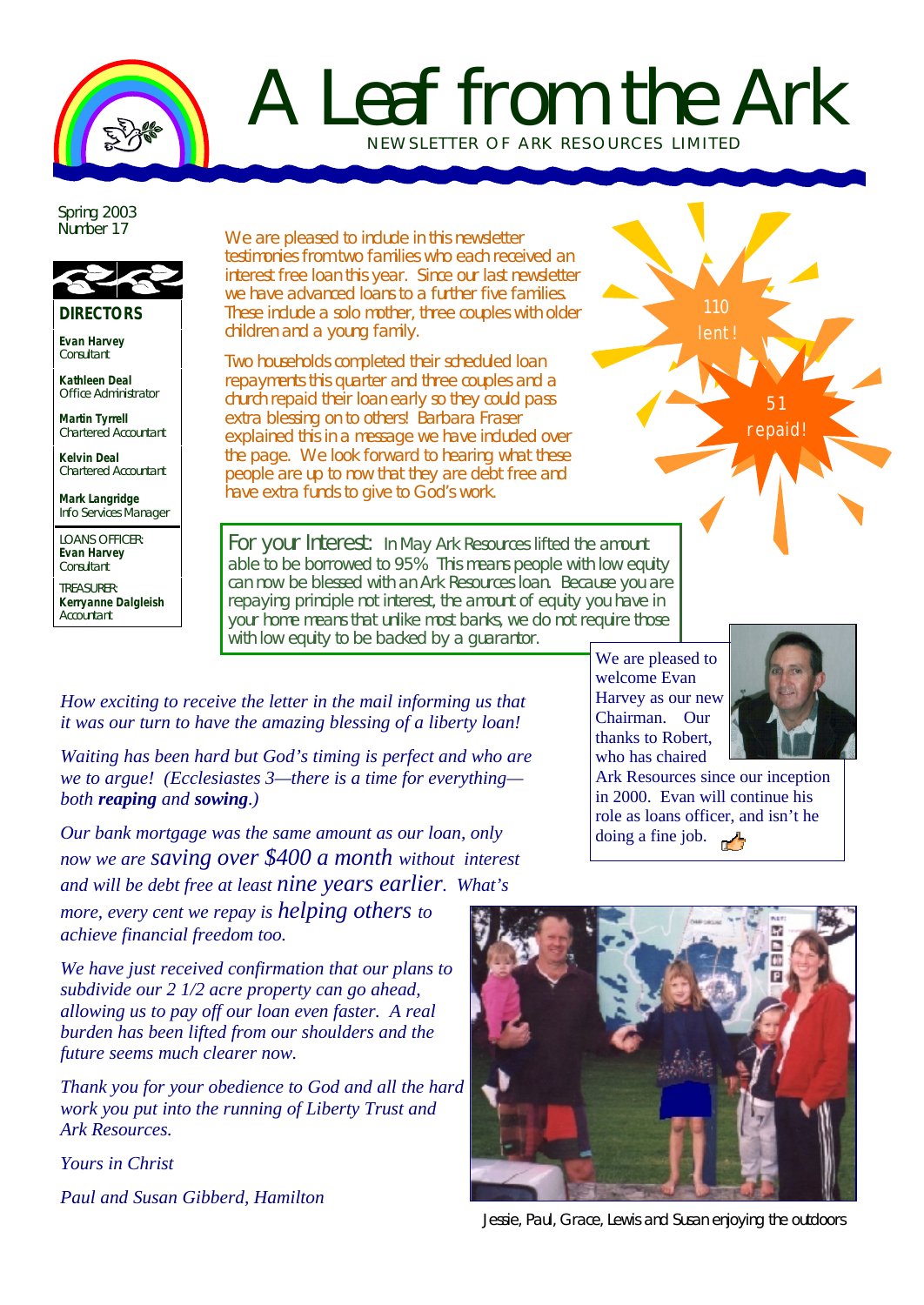

## A Leaf from the Ark NEWSLETTER OF ARK RE SOURCES LIMITED

Spring 2003 Number 17



**DIRECTORS**

**Evan Harvey Consultant** 

**Kathleen Deal** Office Administrator

**Martin Tyrrell** Chartered Accountant

**Kelvin Deal** Chartered Accountant

**Mark Langridge** Info Services Manager

LOANS OFFICER: **Evan Harvey Consultant** 

TREASURER: **Kerryanne Dalgleish Accountant** 

We are pleased to include in this newsletter testimonies from two families who each received an interest free loan this year. Since our last newsletter we have advanced loans to a further five families. These include a solo mother, three couples with older children and a young family.

Two households completed their scheduled loan repayments this quarter and three couples and a church repaid their loan early so they could pass extra blessing on to others! Barbara Fraser explained this in a message we have included over the page. We look forward to hearing what these people are up to now that they are debt free and have extra funds to give to God's work.

For your Interest: In May Ark Resources lifted the amount able to be borrowed to 95% This means people with low equity can now be blessed with an Ark Resources loan. Because you are repaying principle not interest, the amount of equity you have in your home means that unlike most banks, we do not require those with low equity to be backed by a quarantor.

*How exciting to receive the letter in the mail informing us that it was our turn to have the amazing blessing of a liberty loan!*

*Waiting has been hard but God's timing is perfect and who are we to argue! (Ecclesiastes 3—there is a time for everything both reaping and sowing.)* 

*Our bank mortgage was the same amount as our loan, only now we are saving over \$400 a month without interest and will be debt free at least nine years earlier. What's more, every cent we repay is helping others to achieve financial freedom too.*

*We have just received confirmation that our plans to subdivide our 2 1/2 acre property can go ahead, allowing us to pay off our loan even faster. A real burden has been lifted from our shoulders and the future seems much clearer now.*

*Thank you for your obedience to God and all the hard work you put into the running of Liberty Trust and Ark Resources.*

*Yours in Christ*

*Paul and Susan Gibberd, Hamilton*

We are pleased to welcome Evan Harvey as our new Chairman. Our thanks to Robert, who has chaired



51 repaid!

110 lent!

Ark Resources since our inception in 2000. Evan will continue his role as loans officer, and isn't he doing a fine job. وأمرر



Jessie, Paul, Grace, Lewis and Susan enjoying the outdoors